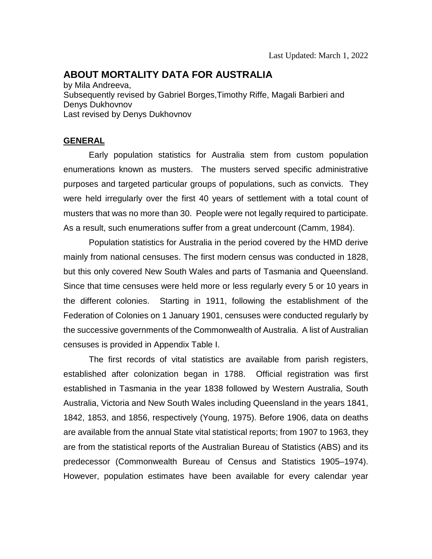# **ABOUT MORTALITY DATA FOR AUSTRALIA**

by Mila Andreeva, Subsequently revised by Gabriel Borges,Timothy Riffe, Magali Barbieri and Denys Dukhovnov Last revised by Denys Dukhovnov

#### **GENERAL**

Early population statistics for Australia stem from custom population enumerations known as musters. The musters served specific administrative purposes and targeted particular groups of populations, such as convicts. They were held irregularly over the first 40 years of settlement with a total count of musters that was no more than 30. People were not legally required to participate. As a result, such enumerations suffer from a great undercount (Camm, 1984).

Population statistics for Australia in the period covered by the HMD derive mainly from national censuses. The first modern census was conducted in 1828, but this only covered New South Wales and parts of Tasmania and Queensland. Since that time censuses were held more or less regularly every 5 or 10 years in the different colonies. Starting in 1911, following the establishment of the Federation of Colonies on 1 January 1901, censuses were conducted regularly by the successive governments of the Commonwealth of Australia. A list of Australian censuses is provided in Appendix Table I.

The first records of vital statistics are available from parish registers, established after colonization began in 1788. Official registration was first established in Tasmania in the year 1838 followed by Western Australia, South Australia, Victoria and New South Wales including Queensland in the years 1841, 1842, 1853, and 1856, respectively (Young, 1975). Before 1906, data on deaths are available from the annual State vital statistical reports; from 1907 to 1963, they are from the statistical reports of the Australian Bureau of Statistics (ABS) and its predecessor (Commonwealth Bureau of Census and Statistics 1905–1974). However, population estimates have been available for every calendar year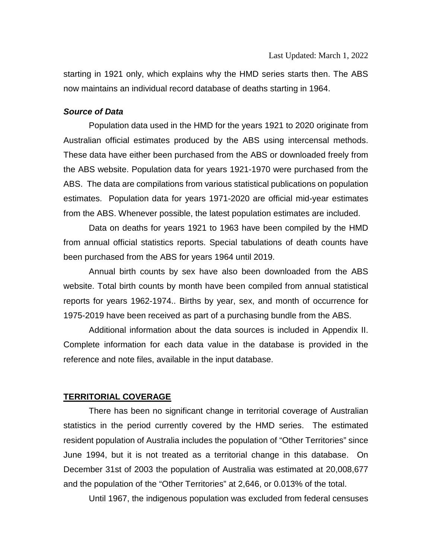starting in 1921 only, which explains why the HMD series starts then. The ABS now maintains an individual record database of deaths starting in 1964.

#### *Source of Data*

Population data used in the HMD for the years 1921 to 2020 originate from Australian official estimates produced by the ABS using intercensal methods. These data have either been purchased from the ABS or downloaded freely from the ABS website. Population data for years 1921-1970 were purchased from the ABS. The data are compilations from various statistical publications on population estimates. Population data for years 1971-2020 are official mid-year estimates from the ABS. Whenever possible, the latest population estimates are included.

Data on deaths for years 1921 to 1963 have been compiled by the HMD from annual official statistics reports. Special tabulations of death counts have been purchased from the ABS for years 1964 until 2019.

Annual birth counts by sex have also been downloaded from the ABS website. Total birth counts by month have been compiled from annual statistical reports for years 1962-1974.. Births by year, sex, and month of occurrence for 1975-2019 have been received as part of a purchasing bundle from the ABS.

Additional information about the data sources is included in Appendix II. Complete information for each data value in the database is provided in the reference and note files, available in the input database.

#### **TERRITORIAL COVERAGE**

There has been no significant change in territorial coverage of Australian statistics in the period currently covered by the HMD series. The estimated resident population of Australia includes the population of "Other Territories" since June 1994, but it is not treated as a territorial change in this database. On December 31st of 2003 the population of Australia was estimated at 20,008,677 and the population of the "Other Territories" at 2,646, or 0.013% of the total.

Until 1967, the indigenous population was excluded from federal censuses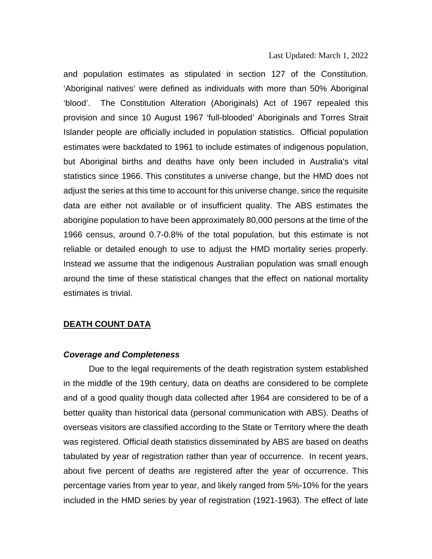and population estimates as stipulated in section 127 of the Constitution. 'Aboriginal natives' were defined as individuals with more than 50% Aboriginal 'blood'. The Constitution Alteration (Aboriginals) Act of 1967 repealed this provision and since 10 August 1967 'full-blooded' Aboriginals and Torres Strait Islander people are officially included in population statistics. Official population estimates were backdated to 1961 to include estimates of indigenous population, but Aboriginal births and deaths have only been included in Australia's vital statistics since 1966. This constitutes a universe change, but the HMD does not adjust the series at this time to account for this universe change, since the requisite data are either not available or of insufficient quality. The ABS estimates the aborigine population to have been approximately 80,000 persons at the time of the 1966 census, around 0.7-0.8% of the total population, but this estimate is not reliable or detailed enough to use to adjust the HMD mortality series properly. Instead we assume that the indigenous Australian population was small enough around the time of these statistical changes that the effect on national mortality estimates is trivial.

#### **DEATH COUNT DATA**

#### *Coverage and Completeness*

Due to the legal requirements of the death registration system established in the middle of the 19th century, data on deaths are considered to be complete and of a good quality though data collected after 1964 are considered to be of a better quality than historical data (personal communication with ABS). Deaths of overseas visitors are classified according to the State or Territory where the death was registered. Official death statistics disseminated by ABS are based on deaths tabulated by year of registration rather than year of occurrence. In recent years, about five percent of deaths are registered after the year of occurrence. This percentage varies from year to year, and likely ranged from 5%-10% for the years included in the HMD series by year of registration (1921-1963). The effect of late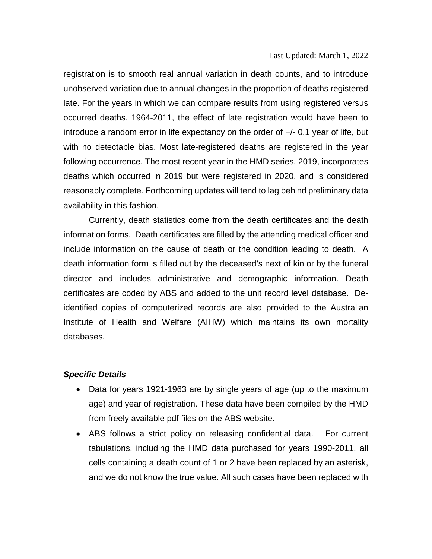registration is to smooth real annual variation in death counts, and to introduce unobserved variation due to annual changes in the proportion of deaths registered late. For the years in which we can compare results from using registered versus occurred deaths, 1964-2011, the effect of late registration would have been to introduce a random error in life expectancy on the order of +/- 0.1 year of life, but with no detectable bias. Most late-registered deaths are registered in the year following occurrence. The most recent year in the HMD series, 2019, incorporates deaths which occurred in 2019 but were registered in 2020, and is considered reasonably complete. Forthcoming updates will tend to lag behind preliminary data availability in this fashion.

Currently, death statistics come from the death certificates and the death information forms. Death certificates are filled by the attending medical officer and include information on the cause of death or the condition leading to death. A death information form is filled out by the deceased's next of kin or by the funeral director and includes administrative and demographic information. Death certificates are coded by ABS and added to the unit record level database. Deidentified copies of computerized records are also provided to the [Australian](http://www.aihw.gov.au/)  [Institute of Health and Welfare](http://www.aihw.gov.au/) (AIHW) which maintains its own mortality databases.

#### *Specific Details*

- Data for years 1921-1963 are by single years of age (up to the maximum age) and year of registration. These data have been compiled by the HMD from freely available pdf files on the ABS website.
- ABS follows a strict policy on releasing confidential data. For current tabulations, including the HMD data purchased for years 1990-2011, all cells containing a death count of 1 or 2 have been replaced by an asterisk, and we do not know the true value. All such cases have been replaced with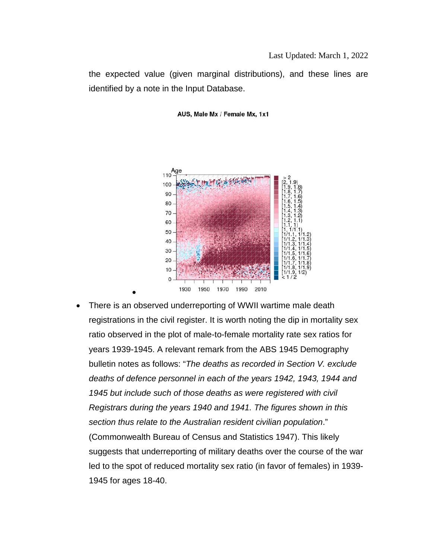the expected value (given marginal distributions), and these lines are identified by a note in the Input Database.



AUS, Male Mx / Female Mx, 1x1

There is an observed underreporting of WWII wartime male death registrations in the civil register. It is worth noting the dip in mortality sex ratio observed in the plot of male-to-female mortality rate sex ratios for years 1939-1945. A relevant remark from the ABS 1945 Demography bulletin notes as follows: "*The deaths as recorded in Section V. exclude deaths of defence personnel in each of the years 1942, 1943, 1944 and 1945 but include such of those deaths as were registered with civil Registrars during the years 1940 and 1941. The figures shown in this section thus relate to the Australian resident civilian population*." (Commonwealth Bureau of Census and Statistics 1947). This likely suggests that underreporting of military deaths over the course of the war led to the spot of reduced mortality sex ratio (in favor of females) in 1939- 1945 for ages 18-40.

•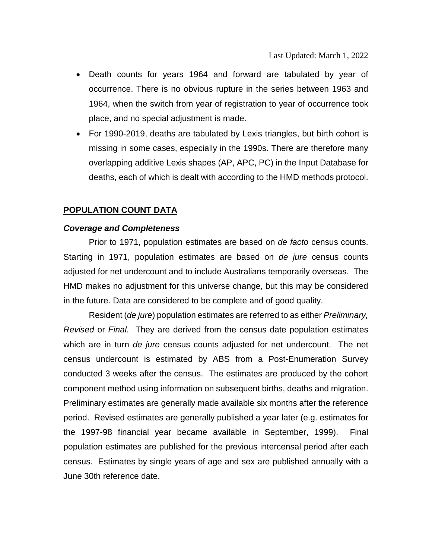- Death counts for years 1964 and forward are tabulated by year of occurrence. There is no obvious rupture in the series between 1963 and 1964, when the switch from year of registration to year of occurrence took place, and no special adjustment is made.
- For 1990-2019, deaths are tabulated by Lexis triangles, but birth cohort is missing in some cases, especially in the 1990s. There are therefore many overlapping additive Lexis shapes (AP, APC, PC) in the Input Database for deaths, each of which is dealt with according to the HMD methods protocol.

#### **POPULATION COUNT DATA**

#### *Coverage and Completeness*

Prior to 1971, population estimates are based on *de facto* census counts. Starting in 1971, population estimates are based on *de jure* census counts adjusted for net undercount and to include Australians temporarily overseas. The HMD makes no adjustment for this universe change, but this may be considered in the future. Data are considered to be complete and of good quality.

Resident (*de jure*) population estimates are referred to as either *Preliminary, Revised* or *Final*. They are derived from the census date population estimates which are in turn *de jure* census counts adjusted for net undercount. The net census undercount is estimated by ABS from a Post-Enumeration Survey conducted 3 weeks after the census. The estimates are produced by the cohort component method using information on subsequent births, deaths and migration. Preliminary estimates are generally made available six months after the reference period. Revised estimates are generally published a year later (e.g. estimates for the 1997-98 financial year became available in September, 1999). Final population estimates are published for the previous intercensal period after each census. Estimates by single years of age and sex are published annually with a June 30th reference date.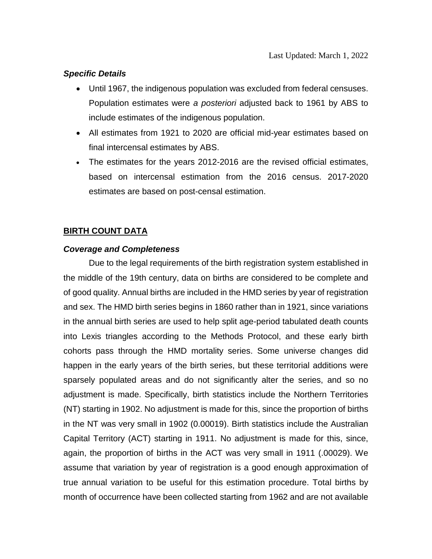#### *Specific Details*

- Until 1967, the indigenous population was excluded from federal censuses. Population estimates were *a posteriori* adjusted back to 1961 by ABS to include estimates of the indigenous population.
- All estimates from 1921 to 2020 are official mid-year estimates based on final intercensal estimates by ABS.
- The estimates for the years 2012-2016 are the revised official estimates, based on intercensal estimation from the 2016 census. 2017-2020 estimates are based on post-censal estimation.

## **BIRTH COUNT DATA**

#### *Coverage and Completeness*

Due to the legal requirements of the birth registration system established in the middle of the 19th century, data on births are considered to be complete and of good quality. Annual births are included in the HMD series by year of registration and sex. The HMD birth series begins in 1860 rather than in 1921, since variations in the annual birth series are used to help split age-period tabulated death counts into Lexis triangles according to the Methods Protocol, and these early birth cohorts pass through the HMD mortality series. Some universe changes did happen in the early years of the birth series, but these territorial additions were sparsely populated areas and do not significantly alter the series, and so no adjustment is made. Specifically, birth statistics include the Northern Territories (NT) starting in 1902. No adjustment is made for this, since the proportion of births in the NT was very small in 1902 (0.00019). Birth statistics include the Australian Capital Territory (ACT) starting in 1911. No adjustment is made for this, since, again, the proportion of births in the ACT was very small in 1911 (.00029). We assume that variation by year of registration is a good enough approximation of true annual variation to be useful for this estimation procedure. Total births by month of occurrence have been collected starting from 1962 and are not available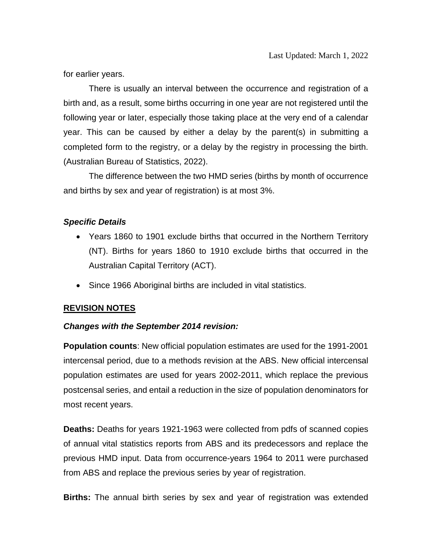for earlier years.

There is usually an interval between the occurrence and registration of a birth and, as a result, some births occurring in one year are not registered until the following year or later, especially those taking place at the very end of a calendar year. This can be caused by either a delay by the parent(s) in submitting a completed form to the registry, or a delay by the registry in processing the birth. (Australian Bureau of Statistics, 2022).

The difference between the two HMD series (births by month of occurrence and births by sex and year of registration) is at most 3%.

## *Specific Details*

- Years 1860 to 1901 exclude births that occurred in the Northern Territory (NT). Births for years 1860 to 1910 exclude births that occurred in the Australian Capital Territory (ACT).
- Since 1966 Aboriginal births are included in vital statistics.

## **REVISION NOTES**

#### *Changes with the September 2014 revision:*

**Population counts**: New official population estimates are used for the 1991-2001 intercensal period, due to a methods revision at the ABS. New official intercensal population estimates are used for years 2002-2011, which replace the previous postcensal series, and entail a reduction in the size of population denominators for most recent years.

**Deaths:** Deaths for years 1921-1963 were collected from pdfs of scanned copies of annual vital statistics reports from ABS and its predecessors and replace the previous HMD input. Data from occurrence-years 1964 to 2011 were purchased from ABS and replace the previous series by year of registration.

**Births:** The annual birth series by sex and year of registration was extended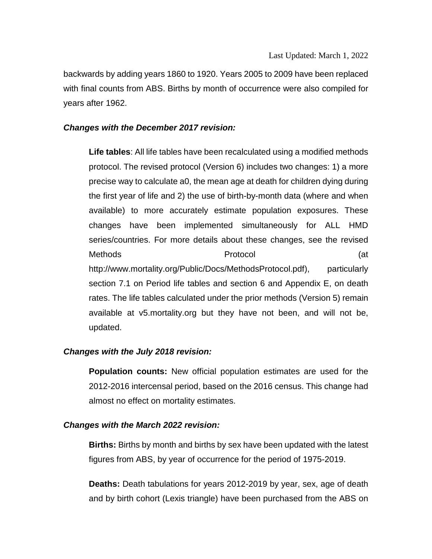backwards by adding years 1860 to 1920. Years 2005 to 2009 have been replaced with final counts from ABS. Births by month of occurrence were also compiled for years after 1962.

#### *Changes with the December 2017 revision:*

**Life tables**: All life tables have been recalculated using a modified methods protocol. The revised protocol (Version 6) includes two changes: 1) a more precise way to calculate a0, the mean age at death for children dying during the first year of life and 2) the use of birth-by-month data (where and when available) to more accurately estimate population exposures. These changes have been implemented simultaneously for ALL HMD series/countries. For more details about these changes, see the revised Methods (at  $\qquad$  Protocol  $\qquad$  (at http://www.mortality.org/Public/Docs/MethodsProtocol.pdf), particularly section 7.1 on Period life tables and section 6 and Appendix E, on death rates. The life tables calculated under the prior methods (Version 5) remain available at v5.mortality.org but they have not been, and will not be, updated.

## *Changes with the July 2018 revision:*

**Population counts:** New official population estimates are used for the 2012-2016 intercensal period, based on the 2016 census. This change had almost no effect on mortality estimates.

#### *Changes with the March 2022 revision:*

**Births:** Births by month and births by sex have been updated with the latest figures from ABS, by year of occurrence for the period of 1975-2019.

**Deaths:** Death tabulations for years 2012-2019 by year, sex, age of death and by birth cohort (Lexis triangle) have been purchased from the ABS on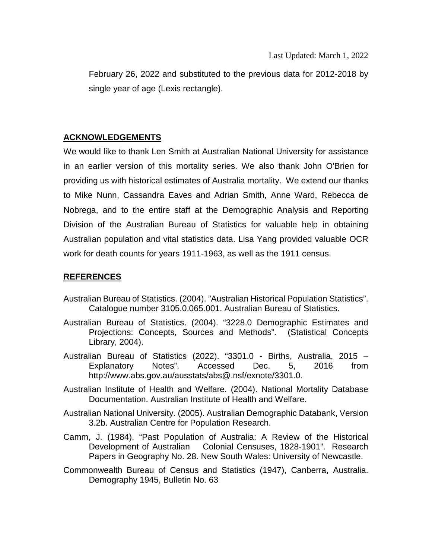February 26, 2022 and substituted to the previous data for 2012-2018 by single year of age (Lexis rectangle).

## **ACKNOWLEDGEMENTS**

We would like to thank Len Smith at Australian National University for assistance in an earlier version of this mortality series. We also thank John O'Brien for providing us with historical estimates of Australia mortality. We extend our thanks to Mike Nunn, Cassandra Eaves and Adrian Smith, Anne Ward, Rebecca de Nobrega, and to the entire staff at the Demographic Analysis and Reporting Division of the Australian Bureau of Statistics for valuable help in obtaining Australian population and vital statistics data. Lisa Yang provided valuable OCR work for death counts for years 1911-1963, as well as the 1911 census.

# **REFERENCES**

- Australian Bureau of Statistics. (2004). "Australian Historical Population Statistics". Catalogue number 3105.0.065.001. Australian Bureau of Statistics.
- Australian Bureau of Statistics. (2004). "3228.0 Demographic Estimates and Projections: Concepts, Sources and Methods". (Statistical Concepts Library, 2004).
- Australian Bureau of Statistics (2022). "3301.0 Births, Australia, 2015 Explanatory Notes". Accessed Dec. 5, 2016 from http://www.abs.gov.au/ausstats/abs@.nsf/exnote/3301.0.
- Australian Institute of Health and Welfare. (2004). National Mortality Database Documentation. [Australian Institute of Health and Welfare.](http://www.aihw.gov.au/)
- Australian National University. (2005). Australian Demographic Databank, Version 3.2b. Australian Centre for Population Research.
- Camm, J. (1984). "Past Population of Australia: A Review of the Historical Development of Australian Colonial Censuses, 1828-1901". Research Papers in Geography No. 28. New South Wales: University of Newcastle.
- Commonwealth Bureau of Census and Statistics (1947), Canberra, Australia. Demography 1945, Bulletin No. 63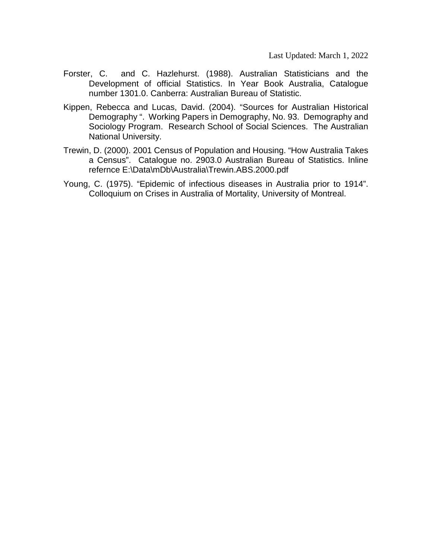- Forster, C. and C. Hazlehurst. (1988). Australian Statisticians and the Development of official Statistics. In Year Book Australia, Catalogue number 1301.0. Canberra: Australian Bureau of Statistic.
- Kippen, Rebecca and Lucas, David. (2004). "Sources for Australian Historical Demography ". Working Papers in Demography, No. 93. Demography and Sociology Program. Research School of Social Sciences. The Australian National University.
- Trewin, D. (2000). 2001 Census of Population and Housing. "How Australia Takes a Census". Catalogue no. 2903.0 Australian Bureau of Statistics. Inline refernce E:\Data\mDb\Australia\Trewin.ABS.2000.pdf
- Young, C. (1975). "Epidemic of infectious diseases in Australia prior to 1914". Colloquium on Crises in Australia of Mortality, University of Montreal.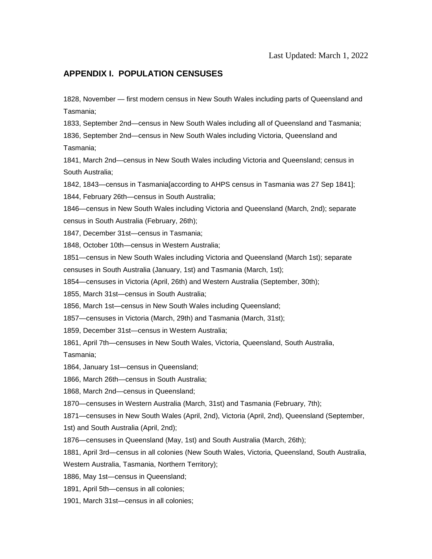#### **APPENDIX I. POPULATION CENSUSES**

1828, November — first modern census in New South Wales including parts of Queensland and Tasmania;

1833, September 2nd—census in New South Wales including all of Queensland and Tasmania;

1836, September 2nd—census in New South Wales including Victoria, Queensland and Tasmania;

1841, March 2nd—census in New South Wales including Victoria and Queensland; census in South Australia;

1842, 1843—census in Tasmania[according to AHPS census in Tasmania was 27 Sep 1841];

1844, February 26th—census in South Australia;

1846—census in New South Wales including Victoria and Queensland (March, 2nd); separate census in South Australia (February, 26th);

1847, December 31st—census in Tasmania;

1848, October 10th—census in Western Australia;

1851—census in New South Wales including Victoria and Queensland (March 1st); separate censuses in South Australia (January, 1st) and Tasmania (March, 1st);

1854—censuses in Victoria (April, 26th) and Western Australia (September, 30th);

1855, March 31st—census in South Australia;

1856, March 1st—census in New South Wales including Queensland;

1857—censuses in Victoria (March, 29th) and Tasmania (March, 31st);

1859, December 31st—census in Western Australia;

1861, April 7th—censuses in New South Wales, Victoria, Queensland, South Australia,

Tasmania;

1864, January 1st—census in Queensland;

1866, March 26th—census in South Australia;

1868, March 2nd—census in Queensland;

1870—censuses in Western Australia (March, 31st) and Tasmania (February, 7th);

1871—censuses in New South Wales (April, 2nd), Victoria (April, 2nd), Queensland (September,

1st) and South Australia (April, 2nd);

1876—censuses in Queensland (May, 1st) and South Australia (March, 26th);

1881, April 3rd—census in all colonies (New South Wales, Victoria, Queensland, South Australia,

Western Australia, Tasmania, Northern Territory);

1886, May 1st—census in Queensland;

1891, April 5th—census in all colonies;

1901, March 31st—census in all colonies;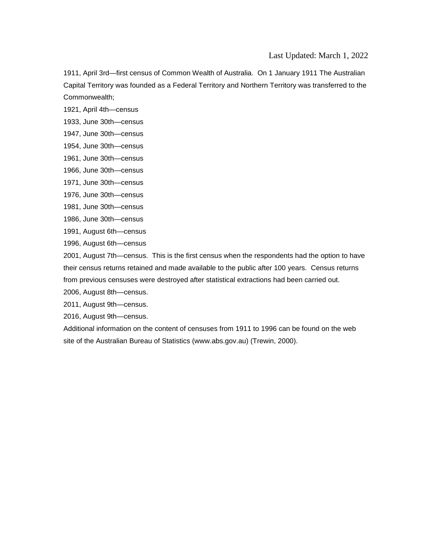1911, April 3rd—first census of Common Wealth of Australia. On 1 January 1911 The Australian Capital Territory was founded as a Federal Territory and Northern Territory was transferred to the Commonwealth;

- 1921, April 4th—census
- 1933, June 30th—census
- 1947, June 30th—census
- 1954, June 30th—census
- 1961, June 30th—census
- 1966, June 30th—census
- 1971, June 30th—census
- 1976, June 30th—census
- 1981, June 30th—census
- 1986, June 30th—census
- 1991, August 6th—census
- 1996, August 6th—census

2001, August 7th—census. This is the first census when the respondents had the option to have their census returns retained and made available to the public after 100 years. Census returns from previous censuses were destroyed after statistical extractions had been carried out.

2006, August 8th—census.

2011, August 9th—census.

2016, August 9th—census.

Additional information on the [content of censuses from 1911 to 1996](http://www.abs.gov.au/websitedbs/D3110122.NSF/4a255eef008309e44a255eef00061e57/7d9cd936b58501f74a2564660006cc16!OpenDocument) can be found on the web site of the Australian Bureau of Statistics (www.abs.gov.au) (Trewin, 2000).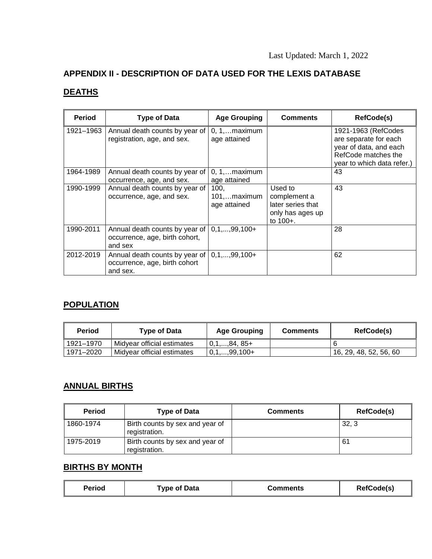# **APPENDIX II - DESCRIPTION OF DATA USED FOR THE LEXIS DATABASE**

# **DEATHS**

| <b>Period</b> | <b>Type of Data</b>                                                                              | <b>Age Grouping</b>                    | <b>Comments</b>                                                              | RefCode(s)                                                                                                                  |
|---------------|--------------------------------------------------------------------------------------------------|----------------------------------------|------------------------------------------------------------------------------|-----------------------------------------------------------------------------------------------------------------------------|
| 1921-1963     | Annual death counts by year of<br>registration, age, and sex.                                    | $0, 1, \ldots$ maximum<br>age attained |                                                                              | 1921-1963 (RefCodes<br>are separate for each<br>year of data, and each<br>RefCode matches the<br>year to which data refer.) |
| 1964-1989     | Annual death counts by year of<br>occurrence, age, and sex.                                      | $0, 1, \ldots$ maximum<br>age attained |                                                                              | 43                                                                                                                          |
| 1990-1999     | Annual death counts by year of<br>occurrence, age, and sex.                                      | 100.<br>101,maximum<br>age attained    | Used to<br>complement a<br>later series that<br>only has ages up<br>to 100+. | 43                                                                                                                          |
| 1990-2011     | Annual death counts by year of $\vert 0,1,,99,100+$<br>occurrence, age, birth cohort,<br>and sex |                                        |                                                                              | 28                                                                                                                          |
| 2012-2019     | Annual death counts by year of<br>occurrence, age, birth cohort<br>and sex.                      | $0, 1, \ldots, 99, 100+$               |                                                                              | 62                                                                                                                          |

# **POPULATION**

| Period    | <b>Type of Data</b>        | <b>Age Grouping</b> | <b>Comments</b> | RefCode(s)             |
|-----------|----------------------------|---------------------|-----------------|------------------------|
| 1921–1970 | Midyear official estimates | $0,1,,84,85+$       |                 |                        |
| 1971-2020 | Midyear official estimates | $0,1,,99,100+$      |                 | 16, 29, 48, 52, 56, 60 |

# **ANNUAL BIRTHS**

| <b>Period</b> | <b>Type of Data</b>                              | <b>Comments</b> | <b>RefCode(s)</b> |
|---------------|--------------------------------------------------|-----------------|-------------------|
| 1860-1974     | Birth counts by sex and year of<br>registration. |                 | 32, 3             |
| 1975-2019     | Birth counts by sex and year of<br>registration. |                 | 61                |

# **BIRTHS BY MONTH**

| <b>Period</b><br>Type of Data | Comments | <b>RefCode(s)</b> |
|-------------------------------|----------|-------------------|
|-------------------------------|----------|-------------------|